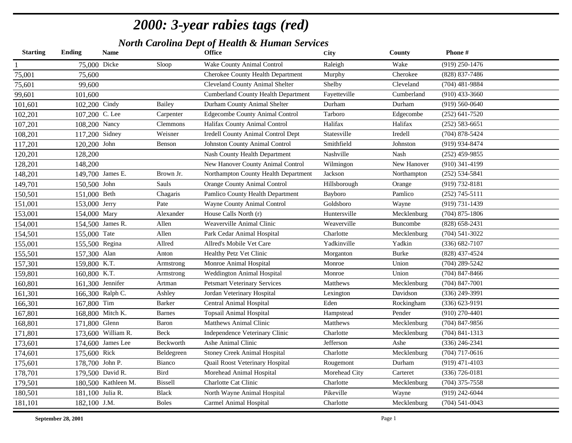| <b>Starting</b> | <b>Ending</b>  | <b>Name</b>         |                 | <b>Office</b>                              | City          | <b>County</b> | Phone#             |
|-----------------|----------------|---------------------|-----------------|--------------------------------------------|---------------|---------------|--------------------|
| $\mathbf{1}$    |                | 75,000 Dicke        | Sloop           | Wake County Animal Control                 | Raleigh       | Wake          | $(919)$ 250-1476   |
| 75,001          | 75,600         |                     |                 | Cherokee County Health Department          | Murphy        | Cherokee      | (828) 837-7486     |
| 75,601          | 99,600         |                     |                 | Cleveland County Animal Shelter            | Shelby        | Cleveland     | $(704)$ 481-9884   |
| 99,601          | 101,600        |                     |                 | <b>Cumberland County Health Department</b> | Fayetteville  | Cumberland    | $(910)$ 433-3660   |
| 101,601         | 102,200 Cindy  |                     | Bailey          | Durham County Animal Shelter               | Durham        | Durham        | $(919) 560 - 0640$ |
| 102,201         | 107,200 C. Lee |                     | Carpenter       | <b>Edgecombe County Animal Control</b>     | Tarboro       | Edgecombe     | $(252)$ 641-7520   |
| 107,201         | 108,200 Nancy  |                     | <b>Clemmons</b> | Halifax County Animal Control              | Halifax       | Halifax       | $(252) 583 - 6651$ |
| 108,201         | 117,200 Sidney |                     | Weisner         | <b>Iredell County Animal Control Dept</b>  | Statesville   | Iredell       | (704) 878-5424     |
| 117,201         | 120,200 John   |                     | Benson          | Johnston County Animal Control             | Smithfield    | Johnston      | $(919)$ 934-8474   |
| 120,201         | 128,200        |                     |                 | Nash County Health Department              | Nashville     | Nash          | $(252)$ 459-9855   |
| 128,201         | 148,200        |                     |                 | New Hanover County Animal Control          | Wilmingon     | New Hanover   | $(910)$ 341-4199   |
| 148,201         |                | 149,700 James E.    | Brown Jr.       | Northampton County Health Department       | Jackson       | Northampton   | $(252) 534 - 5841$ |
| 149,701         | 150,500 John   |                     | Sauls           | <b>Orange County Animal Control</b>        | Hillsborough  | Orange        | (919) 732-8181     |
| 150,501         | 151,000 Beth   |                     | Chagaris        | Pamlico County Health Department           | Bayboro       | Pamlico       | $(252)$ 745-5111   |
| 151,001         | 153,000 Jerry  |                     | Pate            | Wayne County Animal Control                | Goldsboro     | Wayne         | $(919) 731 - 1439$ |
| 153,001         | 154,000 Mary   |                     | Alexander       | House Calls North (r)                      | Huntersville  | Mecklenburg   | $(704)$ 875-1806   |
| 154,001         |                | 154,500 James R.    | Allen           | Weaverville Animal Clinic                  | Weaverville   | Buncombe      | $(828)$ 658-2431   |
| 154,501         | 155,000 Tate   |                     | Allen           | Park Cedar Animal Hospital                 | Charlotte     | Mecklenburg   | $(704) 541 - 3022$ |
| 155,001         |                | 155,500 Regina      | Allred          | Allred's Mobile Vet Care                   | Yadkinville   | Yadkin        | $(336) 682 - 7107$ |
| 155,501         | 157,300 Alan   |                     | Anton           | Healthy Petz Vet Clinic                    | Morganton     | <b>Burke</b>  | (828) 437-4524     |
| 157,301         | 159,800 K.T.   |                     | Armstrong       | Monroe Animal Hospital                     | Monroe        | Union         | $(704)$ 289-5242   |
| 159,801         | 160,800 K.T.   |                     | Armstrong       | Weddington Animal Hospital                 | Monroe        | Union         | $(704)$ 847-8466   |
| 160,801         |                | 161,300 Jennifer    | Artman          | <b>Petsmart Veterinary Services</b>        | Matthews      | Mecklenburg   | $(704)$ 847-7001   |
| 161,301         |                | 166,300 Ralph C.    | Ashley          | Jordan Veterinary Hospital                 | Lexington     | Davidson      | $(336)$ 249-3991   |
| 166,301         | 167,800 Tim    |                     | Barker          | <b>Central Animal Hospital</b>             | Eden          | Rockingham    | $(336) 623 - 9191$ |
| 167,801         |                | 168,800 Mitch K.    | <b>Barnes</b>   | <b>Topsail Animal Hospital</b>             | Hampstead     | Pender        | $(910)$ 270-4401   |
| 168,801         | 171,800 Glenn  |                     | Baron           | Matthews Animal Clinic                     | Matthews      | Mecklenburg   | $(704)$ 847-9856   |
| 171,801         |                | 173,600 William R.  | Beck            | Independence Veterinary Clinic             | Charlotte     | Mecklenburg   | $(704)$ 841-1313   |
| 173,601         |                | 174,600 James Lee   | Beckworth       | Ashe Animal Clinic                         | Jefferson     | Ashe          | $(336)$ 246-2341   |
| 174,601         | 175,600 Rick   |                     | Beldegreen      | <b>Stoney Creek Animal Hospital</b>        | Charlotte     | Mecklenburg   | $(704)$ 717-0616   |
| 175,601         |                | 178,700 John P.     | Bianco          | Quail Roost Veterinary Hospital            | Rougemont     | Durham        | $(919)$ 471-4103   |
| 178,701         |                | 179,500 David R.    | Bird            | Morehead Animal Hospital                   | Morehead City | Carteret      | $(336) 726 - 0181$ |
| 179,501         |                | 180,500 Kathleen M. | Bissell         | Charlotte Cat Clinic                       | Charlotte     | Mecklenburg   | $(704)$ 375-7558   |
| 180,501         |                | 181,100 Julia R.    | <b>Black</b>    | North Wayne Animal Hospital                | Pikeville     | Wayne         | (919) 242-6044     |
| 181,101         | 182,100 J.M.   |                     | <b>Boles</b>    | Carmel Animal Hospital                     | Charlotte     | Mecklenburg   | $(704) 541 - 0043$ |
|                 |                |                     |                 |                                            |               |               |                    |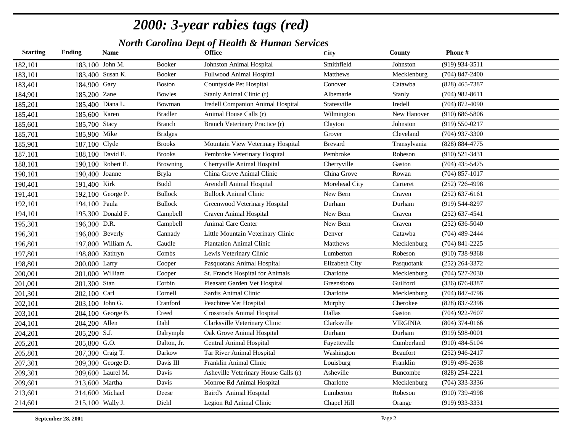| <b>Starting</b> | <b>Ending</b>     | <b>Name</b>        |                 | <b>Office</b>                        | City           | <b>County</b>   | Phone#             |
|-----------------|-------------------|--------------------|-----------------|--------------------------------------|----------------|-----------------|--------------------|
| 182,101         | 183,100 John M.   |                    | Booker          | Johnston Animal Hospital             | Smithfield     | Johnston        | (919) 934-3511     |
| 183,101         |                   | 183,400 Susan K.   | <b>Booker</b>   | Fullwood Animal Hospital             | Matthews       | Mecklenburg     | $(704)$ 847-2400   |
| 183,401         | 184,900 Gary      |                    | <b>Boston</b>   | Countyside Pet Hospital              | Conover        | Catawba         | $(828)$ 465-7387   |
| 184,901         | 185,200 Zane      |                    | <b>Bowles</b>   | Stanly Animal Clinic (r)             | Albemarle      | Stanly          | $(704)$ 982-8611   |
| 185,201         |                   | 185,400 Diana L.   | Bowman          | Iredell Companion Animal Hospital    | Statesville    | Iredell         | $(704)$ 872-4090   |
| 185,401         | 185,600 Karen     |                    | <b>Bradler</b>  | Animal House Calls (r)               | Wilmington     | New Hanover     | $(910) 686 - 5806$ |
| 185,601         | 185,700 Stacy     |                    | <b>Branch</b>   | Branch Veterinary Practice (r)       | Clayton        | Johnston        | $(919) 550 - 0217$ |
| 185,701         | 185,900 Mike      |                    | <b>Bridges</b>  |                                      | Grover         | Cleveland       | $(704)$ 937-3300   |
| 185,901         | 187,100 Clyde     |                    | <b>Brooks</b>   | Mountain View Veterinary Hospital    | <b>Brevard</b> | Transylvania    | (828) 884-4775     |
| 187,101         |                   | 188,100 David E.   | <b>Brooks</b>   | Pembroke Veterinary Hospital         | Pembroke       | Robeson         | $(910) 521 - 3431$ |
| 188,101         |                   | 190,100 Robert E.  | <b>Browning</b> | Cherryville Animal Hospital          | Cherryville    | Gaston          | $(704)$ 435-5475   |
| 190,101         | 190,400 Joanne    |                    | Bryla           | China Grove Animal Clinic            | China Grove    | Rowan           | $(704)$ 857-1017   |
| 190,401         | 191,400 Kirk      |                    | <b>Budd</b>     | Arendell Animal Hospital             | Morehead City  | Carteret        | $(252)$ 726-4998   |
| 191,401         |                   | 192,100 George P.  | <b>Bullock</b>  | <b>Bullock Animal Clinic</b>         | New Bern       | Craven          | $(252) 637 - 6161$ |
| 192,101         | 194,100 Paula     |                    | <b>Bullock</b>  | Greenwood Veterinary Hospital        | Durham         | Durham          | $(919) 544 - 8297$ |
| 194,101         |                   | 195,300 Donald F.  | Campbell        | Craven Animal Hospital               | New Bern       | Craven          | $(252)$ 637-4541   |
| 195,301         | 196,300 D.R.      |                    | Campbell        | Animal Care Center                   | New Bern       | Craven          | $(252) 636 - 5040$ |
| 196,301         | $196,800$ Beverly |                    | Cannady         | Little Mountain Veterinary Clinic    | Denver         | Catawba         | $(704)$ 489-2444   |
| 196,801         |                   | 197,800 William A. | Caudle          | <b>Plantation Animal Clinic</b>      | Matthews       | Mecklenburg     | $(704)$ 841-2225   |
| 197,801         | 198,800 Kathryn   |                    | Combs           | Lewis Veterinary Clinic              | Lumberton      | Robeson         | $(910)$ 738-9368   |
| 198,801         | 200,000 Larry     |                    | Cooper          | Pasquotank Animal Hospital           | Elizabeth City | Pasquotank      | $(252)$ 264-3372   |
| 200,001         |                   | 201,000 William    | Cooper          | St. Francis Hospital for Animals     | Charlotte      | Mecklenburg     | $(704)$ 527-2030   |
| 201,001         | 201,300 Stan      |                    | Corbin          | Pleasant Garden Vet Hospital         | Greensboro     | Guilford        | $(336) 676 - 8387$ |
| 201,301         | 202,100 Carl      |                    | Cornell         | Sardis Animal Clinic                 | Charlotte      | Mecklenburg     | $(704)$ 847-4796   |
| 202,101         | 203,100 John G.   |                    | Cranford        | Peachtree Vet Hospital               | Murphy         | Cherokee        | (828) 837-2396     |
| 203,101         |                   | 204,100 George B.  | Creed           | <b>Crossroads Animal Hospital</b>    | Dallas         | Gaston          | $(704)$ 922-7607   |
| 204,101         | 204,200 Allen     |                    | Dahl            | Clarksville Veterinary Clinic        | Clarksville    | <b>VIRGINIA</b> | $(804)$ 374-0166   |
| 204,201         | 205,200 S.J.      |                    | Dalrymple       | Oak Grove Animal Hospital            | Durham         | Durham          | $(919) 598 - 0001$ |
| 205,201         | 205,800 G.O.      |                    | Dalton, Jr.     | Central Animal Hospital              | Fayetteville   | Cumberland      | $(910)$ 484-5104   |
| 205,801         |                   | 207,300 Craig T.   | Darkow          | Tar River Animal Hospital            | Washington     | Beaufort        | $(252)$ 946-2417   |
| 207,301         |                   | 209,300 George D.  | Davis III       | Franklin Animal Clinic               | Louisburg      | Franklin        | $(919)$ 496-2638   |
| 209,301         |                   | 209,600 Laurel M.  | Davis           | Asheville Veterinary House Calls (r) | Asheville      | Buncombe        | (828) 254-2221     |
| 209,601         | 213,600 Martha    |                    | Davis           | Monroe Rd Animal Hospital            | Charlotte      | Mecklenburg     | $(704)$ 333-3336   |
| 213,601         | 214,600 Michael   |                    | Deese           | Baird's Animal Hospital              | Lumberton      | Robeson         | $(910)$ 739-4998   |
| 214,601         |                   | 215,100 Wally J.   | Diehl           | Legion Rd Animal Clinic              | Chapel Hill    | Orange          | (919) 933-3331     |
|                 |                   |                    |                 |                                      |                |                 |                    |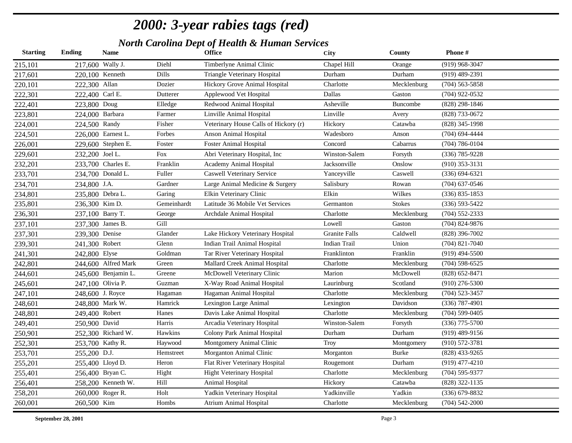| <b>Starting</b> | Ending           | <b>Name</b>         |             | <b>Office</b>                         | City          | County        | Phone#             |
|-----------------|------------------|---------------------|-------------|---------------------------------------|---------------|---------------|--------------------|
| 215,101         | 217,600 Wally J. |                     | Diehl       | Timberlyne Animal Clinic              | Chapel Hill   | Orange        | $(919)$ 968-3047   |
| 217,601         |                  | 220,100 Kenneth     | Dills       | Triangle Veterinary Hospital          | Durham        | Durham        | $(919)$ 489-2391   |
| 220,101         | 222,300 Allan    |                     | Dozier      | Hickory Grove Animal Hospital         | Charlotte     | Mecklenburg   | $(704)$ 563-5858   |
| 222,301         | 222,400 Carl E.  |                     | Dutterer    | Applewood Vet Hospital                | Dallas        | Gaston        | $(704)$ 922-0532   |
| 222,401         | 223,800 Doug     |                     | Elledge     | Redwood Animal Hospital               | Asheville     | Buncombe      | (828) 298-1846     |
| 223,801         | 224,000 Barbara  |                     | Farmer      | Linville Animal Hospital              | Linville      | Avery         | (828) 733-0672     |
| 224,001         | 224,500 Randy    |                     | Fisher      | Veterinary House Calls of Hickory (r) | Hickory       | Catawba       | (828) 345-1998     |
| 224,501         |                  | 226,000 Earnest L.  | Forbes      | Anson Animal Hospital                 | Wadesboro     | Anson         | $(704)$ 694-4444   |
| 226,001         |                  | 229,600 Stephen E.  | Foster      | <b>Foster Animal Hospital</b>         | Concord       | Cabarrus      | $(704) 786 - 0104$ |
| 229,601         | 232,200 Joel L.  |                     | <b>Fox</b>  | Abri Veterinary Hospital, Inc.        | Winston-Salem | Forsyth       | $(336)$ 785-9228   |
| 232,201         |                  | 233,700 Charles E.  | Franklin    | Academy Animal Hospital               | Jacksonville  | Onslow        | $(910)$ 353-3131   |
| 233,701         |                  | 234,700 Donald L.   | Fuller      | <b>Caswell Veterinary Service</b>     | Yanceyville   | Caswell       | $(336) 694 - 6321$ |
| 234,701         | 234,800 J.A.     |                     | Gardner     | Large Animal Medicine & Surgery       | Salisbury     | Rowan         | $(704)$ 637-0546   |
| 234,801         |                  | 235,800 Debra L.    | Garing      | Elkin Veterinary Clinic               | Elkin         | Wilkes        | $(336) 835 - 1853$ |
| 235,801         | 236,300 Kim D.   |                     | Gemeinhardt | Latitude 36 Mobile Vet Services       | Germanton     | <b>Stokes</b> | $(336) 593 - 5422$ |
| 236,301         |                  | 237,100 Barry T.    | George      | Archdale Animal Hospital              | Charlotte     | Mecklenburg   | $(704)$ 552-2333   |
| 237,101         |                  | 237,300 James B.    | Gill        |                                       | Lowell        | Gaston        | $(704)$ 824-9876   |
| 237,301         | 239,300 Denise   |                     | Glander     | Lake Hickory Veterinary Hospital      | Granite Falls | Caldwell      | $(828)$ 396-7002   |
| 239,301         | 241,300 Robert   |                     | Glenn       | Indian Trail Animal Hospital          | Indian Trail  | Union         | $(704)$ 821-7040   |
| 241,301         | 242,800 Elyse    |                     | Goldman     | Tar River Veterinary Hospital         | Franklinton   | Franklin      | $(919)$ 494-5500   |
| 242,801         |                  | 244,600 Alfred Mark | Green       | Mallard Creek Animal Hospital         | Charlotte     | Mecklenburg   | $(704)$ 598-6525   |
| 244,601         |                  | 245,600 Benjamin L. | Greene      | McDowell Veterinary Clinic            | Marion        | McDowell      | $(828) 652 - 8471$ |
| 245,601         |                  | 247,100 Olivia P.   | Guzman      | X-Way Road Animal Hospital            | Laurinburg    | Scotland      | $(910)$ 276-5300   |
| 247,101         |                  | 248,600 J. Royce    | Hagaman     | Hagaman Animal Hospital               | Charlotte     | Mecklenburg   | $(704)$ 523-3457   |
| 248,601         |                  | 248,800 Mark W.     | Hamrick     | Lexington Large Animal                | Lexington     | Davidson      | $(336)$ 787-4901   |
| 248,801         | 249,400 Robert   |                     | Hanes       | Davis Lake Animal Hospital            | Charlotte     | Mecklenburg   | $(704)$ 599-0405   |
| 249,401         | 250,900 David    |                     | Harris      | Arcadia Veterinary Hospital           | Winston-Salem | Forsyth       | $(336)$ 775-5700   |
| 250,901         |                  | 252,300 Richard W.  | Hawkins     | Colony Park Animal Hospital           | Durham        | Durham        | $(919)$ 489-9156   |
| 252,301         |                  | 253,700 Kathy R.    | Haywood     | Montgomery Animal Clinic              | Troy          | Montgomery    | $(910) 572 - 3781$ |
| 253,701         | 255,200 D.J.     |                     | Hemstreet   | Morganton Animal Clinic               | Morganton     | Burke         | $(828)$ 433-9265   |
| 255,201         |                  | 255,400 Lloyd D.    | Heron       | Flat River Veterinary Hospital        | Rougemont     | Durham        | $(919)$ 477-4210   |
| 255,401         |                  | 256,400 Bryan C.    | Hight       | <b>Hight Veterinary Hospital</b>      | Charlotte     | Mecklenburg   | $(704)$ 595-9377   |
| 256,401         |                  | 258,200 Kenneth W.  | Hill        | Animal Hospital                       | Hickory       | Catawba       | $(828)$ 322-1135   |
| 258,201         |                  | 260,000 Roger R.    | Holt        | Yadkin Veterinary Hospital            | Yadkinville   | Yadkin        | $(336) 679 - 8832$ |
| 260,001         | 260,500 Kim      |                     | Hombs       | <b>Atrium Animal Hospital</b>         | Charlotte     | Mecklenburg   | $(704) 542 - 2000$ |
|                 |                  |                     |             |                                       |               |               |                    |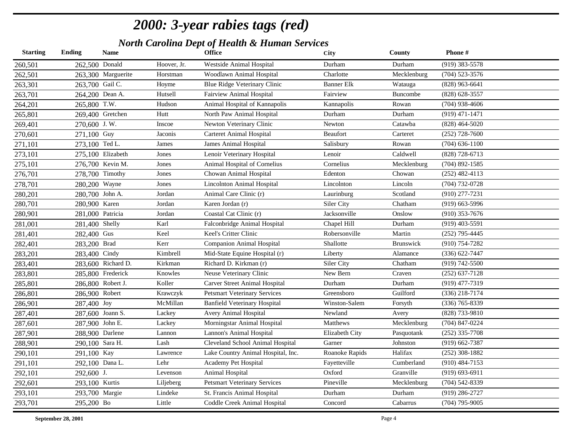| <b>Starting</b> | Ending           | <b>Name</b>        |             | <b>Office</b>                        | <b>City</b>       | County           | Phone#             |
|-----------------|------------------|--------------------|-------------|--------------------------------------|-------------------|------------------|--------------------|
| 260,501         | 262,500 Donald   |                    | Hoover, Jr. | Westside Animal Hospital             | Durham            | Durham           | $(919)$ 383-5578   |
| 262,501         |                  | 263,300 Marguerite | Horstman    | Woodlawn Animal Hospital             | Charlotte         | Mecklenburg      | $(704)$ 523-3576   |
| 263,301         | 263,700 Gail C.  |                    | Hoyme       | Blue Ridge Veterinary Clinic         | <b>Banner Elk</b> | Watauga          | $(828)$ 963-6641   |
| 263,701         | 264,200 Dean A.  |                    | Hutsell     | <b>Fairview Animal Hospital</b>      | Fairview          | <b>Buncombe</b>  | (828) 628-3557     |
| 264,201         | 265,800 T.W.     |                    | Hudson      | Animal Hospital of Kannapolis        | Kannapolis        | Rowan            | $(704)$ 938-4606   |
| 265,801         |                  | 269,400 Gretchen   | Hutt        | North Paw Animal Hospital            | Durham            | Durham           | $(919)$ 471-1471   |
| 269,401         | 270,600 J.W.     |                    | Inscoe      | Newton Veterinary Clinic             | Newton            | Catawba          | $(828)$ 464-5020   |
| 270,601         | 271,100 Guy      |                    | Jaconis     | <b>Carteret Animal Hospital</b>      | <b>Beaufort</b>   | Carteret         | $(252)$ 728-7600   |
| 271,101         | 273,100 Ted L.   |                    | James       | James Animal Hospital                | Salisbury         | Rowan            | $(704)$ 636-1100   |
| 273,101         |                  | 275,100 Elizabeth  | Jones       | Lenoir Veterinary Hospital           | Lenoir            | Caldwell         | (828) 728-6713     |
| 275,101         |                  | 276,700 Kevin M.   | Jones       | Animal Hospital of Cornelius         | Cornelius         | Mecklenburg      | $(704)$ 892-1585   |
| 276,701         |                  | 278,700 Timothy    | Jones       | Chowan Animal Hospital               | Edenton           | Chowan           | $(252)$ 482-4113   |
| 278,701         | 280,200 Wayne    |                    | Jones       | <b>Lincolnton Animal Hospital</b>    | Lincolnton        | Lincoln          | $(704) 732 - 0728$ |
| 280,201         | 280,700 John A.  |                    | Jordan      | Animal Care Clinic (r)               | Laurinburg        | Scotland         | $(910)$ 277-7231   |
| 280,701         | 280,900 Karen    |                    | Jordan      | Karen Jordan (r)                     | Siler City        | Chatham          | $(919)$ 663-5996   |
| 280,901         | 281,000 Patricia |                    | Jordan      | Coastal Cat Clinic (r)               | Jacksonville      | Onslow           | $(910)$ 353-7676   |
| 281,001         | 281,400 Shelly   |                    | Karl        | Falconbridge Animal Hospital         | Chapel Hill       | Durham           | $(919)$ 403-5591   |
| 281,401         | 282,400 Gus      |                    | Keel        | Keel's Critter Clinic                | Robersonville     | Martin           | $(252)$ 795-4445   |
| 282,401         | 283,200 Brad     |                    | Kerr        | Companion Animal Hospital            | Shallotte         | <b>Brunswick</b> | $(910) 754 - 7282$ |
| 283,201         | 283,400 Cindy    |                    | Kimbrell    | Mid-State Equine Hospital (r)        | Liberty           | Alamance         | $(336) 622 - 7447$ |
| 283,401         |                  | 283,600 Richard D. | Kirkman     | Richard D. Kirkman (r)               | Siler City        | Chatham          | (919) 742-5500     |
| 283,801         |                  | 285,800 Frederick  | Knowles     | Neuse Veterinary Clinic              | New Bern          | Craven           | $(252) 637 - 7128$ |
| 285,801         |                  | 286,800 Robert J.  | Koller      | <b>Carver Street Animal Hospital</b> | Durham            | Durham           | $(919)$ 477-7319   |
| 286,801         | 286,900 Robert   |                    | Krawczyk    | <b>Petsmart Veterinary Services</b>  | Greensboro        | Guilford         | $(336)$ 218-7174   |
| 286,901         | 287,400 Joy      |                    | McMillan    | <b>Banfield Veterinary Hospital</b>  | Winston-Salem     | Forsyth          | (336) 765-8339     |
| 287,401         |                  | 287,600 Joann S.   | Lackey      | Avery Animal Hospital                | Newland           | Avery            | (828) 733-9810     |
| 287,601         | 287,900 John E.  |                    | Lackey      | Morningstar Animal Hospital          | Matthews          | Mecklenburg      | (704) 847-0224     |
| 287,901         | 288,900 Darlene  |                    | Lannon      | Lannon's Animal Hospital             | Elizabeth City    | Pasquotank       | $(252)$ 335-7708   |
| 288,901         | 290,100 Sara H.  |                    | Lash        | Cleveland School Animal Hospital     | Garner            | Johnston         | $(919) 662 - 7387$ |
| 290,101         | 291,100 Kay      |                    | Lawrence    | Lake Country Animal Hospital, Inc.   | Roanoke Rapids    | Halifax          | $(252)$ 308-1882   |
| 291,101         | 292,100 Dana L.  |                    | Lehr        | Academy Pet Hospital                 | Fayetteville      | Cumberland       | $(910)$ 484-7153   |
| 292,101         | 292,600 J.       |                    | Levenson    | Animal Hospital                      | Oxford            | Granville        | $(919) 693 - 6911$ |
| 292,601         | 293,100 Kurtis   |                    | Liljeberg   | <b>Petsmart Veterinary Services</b>  | Pineville         | Mecklenburg      | $(704)$ 542-8339   |
| 293,101         | 293,700 Margie   |                    | Lindeke     | St. Francis Animal Hospital          | Durham            | Durham           | (919) 286-2727     |
| 293,701         | 295,200 Bo       |                    | Little      | Coddle Creek Animal Hospital         | Concord           | Cabarrus         | $(704)$ 795-9005   |
|                 |                  |                    |             |                                      |                   |                  |                    |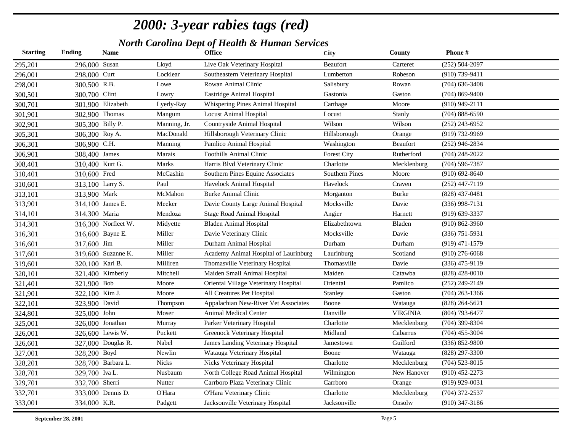| <b>Starting</b> | <b>Ending</b>    | <b>Name</b>         |              | <b>Office</b>                         | City                  | County          | Phone#             |
|-----------------|------------------|---------------------|--------------|---------------------------------------|-----------------------|-----------------|--------------------|
| 295,201         | 296,000 Susan    |                     | Lloyd        | Live Oak Veterinary Hospital          | <b>Beaufort</b>       | Carteret        | $(252) 504 - 2097$ |
| 296,001         | 298,000 Curt     |                     | Locklear     | Southeastern Veterinary Hospital      | Lumberton             | Robeson         | (910) 739-9411     |
| 298,001         | 300,500 R.B.     |                     | Lowe         | Rowan Animal Clinic                   | Salisbury             | Rowan           | $(704)$ 636-3408   |
| 300,501         | 300,700 Clint    |                     | Lowry        | Eastridge Animal Hospital             | Gastonia              | Gaston          | $(704)$ 869-9400   |
| 300,701         |                  | 301,900 Elizabeth   | Lyerly-Ray   | Whispering Pines Animal Hospital      | Carthage              | Moore           | $(910)$ 949-2111   |
| 301,901         | 302,900 Thomas   |                     | Mangum       | <b>Locust Animal Hospital</b>         | Locust                | Stanly          | $(704)$ 888-6590   |
| 302,901         | 305,300 Billy P. |                     | Manning, Jr. | Countryside Animal Hospital           | Wilson                | Wilson          | $(252)$ 243-6952   |
| 305,301         | 306,300 Roy A.   |                     | MacDonald    | Hillsborough Veterinary Clinic        | Hillsborough          | Orange          | (919) 732-9969     |
| 306,301         | 306,900 C.H.     |                     | Manning      | Pamlico Animal Hospital               | Washington            | <b>Beaufort</b> | $(252)$ 946-2834   |
| 306,901         | 308,400 James    |                     | Marais       | <b>Foothills Animal Clinic</b>        | <b>Forest City</b>    | Rutherford      | $(704)$ 248-2022   |
| 308,401         | 310,400 Kurt G.  |                     | Marks        | Harris Blvd Veterinary Clinic         | Charlotte             | Mecklenburg     | $(704)$ 596-7387   |
| 310,401         | 310,600 Fred     |                     | McCashin     | Southern Pines Equine Associates      | <b>Southern Pines</b> | Moore           | $(910)$ 692-8640   |
| 310,601         | 313,100 Larry S. |                     | Paul         | Havelock Animal Hospital              | Havelock              | Craven          | $(252)$ 447-7119   |
| 313,101         | 313,900 Mark     |                     | McMahon      | <b>Burke Animal Clinic</b>            | Morganton             | <b>Burke</b>    | $(828)$ 437-0481   |
| 313,901         |                  | 314,100 James E.    | Meeker       | Davie County Large Animal Hospital    | Mocksville            | Davie           | $(336)$ 998-7131   |
| 314,101         | 314,300 Maria    |                     | Mendoza      | <b>Stage Road Animal Hospital</b>     | Angier                | Harnett         | $(919)$ 639-3337   |
| 314,301         |                  | 316,300 Norfleet W. | Midyette     | <b>Bladen Animal Hospital</b>         | Elizabethtown         | Bladen          | $(910) 862 - 3960$ |
| 316,301         |                  | 316,600 Bayne E.    | Miller       | Davie Veterinary Clinic               | Mocksville            | Davie           | $(336)$ 751-5931   |
| 316,601         | 317,600 Jim      |                     | Miller       | Durham Animal Hospital                | Durham                | Durham          | $(919)$ 471-1579   |
| 317,601         |                  | 319,600 Suzanne K.  | Miller       | Academy Animal Hospital of Laurinburg | Laurinburg            | Scotland        | $(910)$ 276-6068   |
| 319,601         | 320,100 Karl B.  |                     | Milliren     | Thomasville Veterinary Hospital       | Thomasville           | Davie           | (336) 475-9119     |
| 320,101         |                  | 321,400 Kimberly    | Mitchell     | Maiden Small Animal Hospital          | Maiden                | Catawba         | $(828)$ 428-0010   |
| 321,401         | 321,900 Bob      |                     | Moore        | Oriental Village Veterinary Hospital  | Oriental              | Pamlico         | $(252)$ 249-2149   |
| 321,901         | 322,100 Kim J.   |                     | Moore        | All Creatures Pet Hospital            | Stanley               | Gaston          | $(704)$ 263-1366   |
| 322,101         | 323,900 David    |                     | Thompson     | Appalachian New-River Vet Associates  | Boone                 | Watauga         | $(828)$ 264-5621   |
| 324,801         | 325,000 John     |                     | Moser        | Animal Medical Center                 | Danville              | <b>VIRGINIA</b> | (804) 793-6477     |
| 325,001         |                  | 326,000 Jonathan    | Murray       | Parker Veterinary Hospital            | Charlotte             | Mecklenburg     | (704) 399-8304     |
| 326,001         |                  | 326,600 Lewis W.    | Puckett      | Greenock Veterinary Hospital          | Midland               | Cabarrus        | $(704)$ 455-3004   |
| 326,601         |                  | 327,000 Douglas R.  | Nabel        | James Landing Veterinary Hospital     | Jamestown             | Guilford        | (336) 852-9800     |
| 327,001         | 328,200 Boyd     |                     | Newlin       | Watauga Veterinary Hospital           | Boone                 | Watauga         | (828) 297-3300     |
| 328,201         |                  | 328,700 Barbara L.  | Nicks        | Nicks Veterinary Hospital             | Charlotte             | Mecklenburg     | $(704)$ 523-8015   |
| 328,701         | 329,700 Iva L.   |                     | Nusbaum      | North College Road Animal Hospital    | Wilmington            | New Hanover     | $(910)$ 452-2273   |
| 329,701         | 332,700 Sherri   |                     | Nutter       | Carrboro Plaza Veterinary Clinic      | Carrboro              | Orange          | $(919)$ 929-0031   |
| 332,701         |                  | 333,000 Dennis D.   | O'Hara       | O'Hara Veterinary Clinic              | Charlotte             | Mecklenburg     | (704) 372-2537     |
| 333,001         | 334,000 K.R.     |                     | Padgett      | Jacksonville Veterinary Hospital      | Jacksonville          | Onsolw          | $(910)$ 347-3186   |
|                 |                  |                     |              |                                       |                       |                 |                    |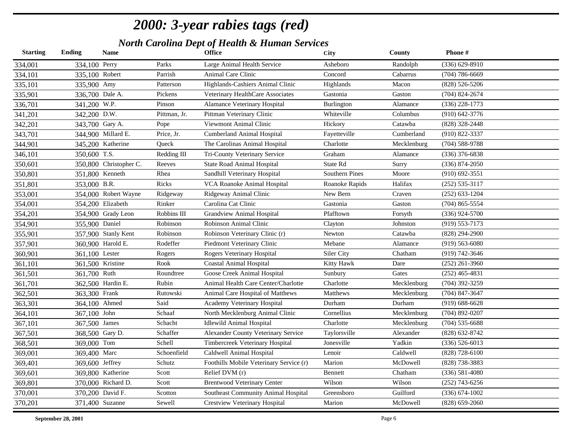| <b>Starting</b> | <b>Ending</b>    | <b>Name</b>            |              | <b>Office</b>                           | City                  | County      | Phone#             |
|-----------------|------------------|------------------------|--------------|-----------------------------------------|-----------------------|-------------|--------------------|
| 334,001         | 334,100 Perry    |                        | Parks        | Large Animal Health Service             | Asheboro              | Randolph    | $(336) 629 - 8910$ |
| 334,101         | 335,100 Robert   |                        | Parrish      | Animal Care Clinic                      | Concord               | Cabarrus    | $(704) 786 - 6669$ |
| 335,101         | 335,900 Amy      |                        | Patterson    | Highlands-Cashiers Animal Clinic        | Highlands             | Macon       | $(828) 526 - 5206$ |
| 335,901         | 336,700 Dale A.  |                        | Pickens      | Veterinary HealthCare Associates        | Gastonia              | Gaston      | $(704)$ 824-2674   |
| 336,701         | 341,200 W.P.     |                        | Pinson       | <b>Alamance Veterinary Hospital</b>     | Burlington            | Alamance    | $(336)$ 228-1773   |
| 341,201         | 342,200 D.W.     |                        | Pittman, Jr. | Pittman Veterinary Clinic               | Whiteville            | Columbus    | $(910)$ 642-3776   |
| 342,201         | 343,700 Gary A.  |                        | Pope         | Viewmont Animal Clinic                  | Hickory               | Catawba     | (828) 328-2448     |
| 343,701         |                  | 344,900 Millard E.     | Price, Jr.   | <b>Cumberland Animal Hospital</b>       | Fayetteville          | Cumberland  | (910) 822-3337     |
| 344,901         |                  | 345,200 Katherine      | Queck        | The Carolinas Animal Hospital           | Charlotte             | Mecklenburg | $(704)$ 588-9788   |
| 346,101         | 350,600 T.S.     |                        | Redding III  | Tri-County Veterinary Service           | Graham                | Alamance    | $(336)$ 376-6838   |
| 350,601         |                  | 350,800 Christopher C. | Reeves       | <b>State Road Animal Hospital</b>       | State Rd              | Surry       | $(336) 874 - 2050$ |
| 350,801         |                  | 351,800 Kenneth        | Rhea         | Sandhill Veterinary Hospital            | <b>Southern Pines</b> | Moore       | $(910)$ 692-3551   |
| 351,801         | 353,000 B.R.     |                        | Ricks        | VCA Roanoke Animal Hospital             | Roanoke Rapids        | Halifax     | $(252) 535 - 3117$ |
| 353,001         |                  | 354,000 Robert Wayne   | Ridgeway     | Ridgeway Animal Clinic                  | New Bern              | Craven      | $(252)$ 633-1204   |
| 354,001         |                  | 354,200 Elizabeth      | Rinker       | Carolina Cat Clinic                     | Gastonia              | Gaston      | $(704)$ 865-5554   |
| 354,201         |                  | 354,900 Grady Leon     | Robbins III  | <b>Grandview Animal Hospital</b>        | Pfafftown             | Forsyth     | $(336)$ 924-5700   |
| 354,901         | 355,900 Daniel   |                        | Robinson     | Robinson Animal Clinic                  | Clayton               | Johnston    | $(919) 553 - 7173$ |
| 355,901         |                  | 357,900 Stanly Kent    | Robinson     | Robinson Veterinary Clinic (r)          | Newton                | Catawba     | (828) 294-2900     |
| 357,901         |                  | 360,900 Harold E.      | Rodeffer     | Piedmont Veterinary Clinic              | Mebane                | Alamance    | $(919) 563 - 6080$ |
| 360,901         | 361,100 Lester   |                        | Rogers       | Rogers Veterinary Hospital              | Siler City            | Chatham     | (919) 742-3646     |
| 361,101         | 361,500 Kristine |                        | Rook         | <b>Coastal Animal Hospital</b>          | Kitty Hawk            | Dare        | $(252)$ 261-3960   |
| 361,501         | 361,700 Ruth     |                        | Roundtree    | Goose Creek Animal Hospital             | Sunbury               | Gates       | $(252)$ 465-4831   |
| 361,701         |                  | 362,500 Hardin E.      | Rubin        | Animal Health Care Center/Charlotte     | Charlotte             | Mecklenburg | $(704)$ 392-3259   |
| 362,501         | 363,300 Frank    |                        | Rutowski     | Animal Care Hospital of Matthews        | Matthews              | Mecklenburg | (704) 847-3647     |
| 363,301         | 364,100 Ahmed    |                        | Said         | Academy Veterinary Hospital             | Durham                | Durham      | $(919) 688 - 6628$ |
| 364,101         | 367,100 John     |                        | Schaaf       | North Mecklenburg Animal Clinic         | Cornellius            | Mecklenburg | $(704)$ 892-0207   |
| 367,101         | 367,500 James    |                        | Schacht      | <b>Idlewild Animal Hospital</b>         | Charlotte             | Mecklenburg | $(704)$ 535-6688   |
| 367,501         | 368,500 Gary D.  |                        | Schaffer     | Alexander County Veterinary Service     | Taylorsville          | Alexander   | (828) 632-8742     |
| 368,501         | 369,000 Tom      |                        | Schell       | Timbercreek Veterinary Hospital         | Jonesville            | Yadkin      | $(336) 526 - 6013$ |
| 369,001         | 369,400 Marc     |                        | Schoenfield  | Caldwell Animal Hospital                | Lenoir                | Caldwell    | $(828)$ 728-6100   |
| 369,401         | 369,600 Jeffrey  |                        | Schutz       | Foothills Mobile Veterinary Service (r) | Marion                | McDowell    | $(828)$ 738-3883   |
| 369,601         |                  | 369,800 Katherine      | Scott        | Relief DVM (r)                          | Bennett               | Chatham     | $(336) 581 - 4080$ |
| 369,801         |                  | 370,000 Richard D.     | Scott        | <b>Brentwood Veterinary Center</b>      | Wilson                | Wilson      | $(252)$ 743-6256   |
| 370,001         |                  | 370,200 David F.       | Scotton      | Southeast Community Animal Hospital     | Greensboro            | Guilford    | $(336) 674 - 1002$ |
| 370,201         |                  | 371,400 Suzanne        | Sewell       | Crestview Veterinary Hospital           | Marion                | McDowell    | $(828) 659 - 2060$ |
|                 |                  |                        |              |                                         |                       |             |                    |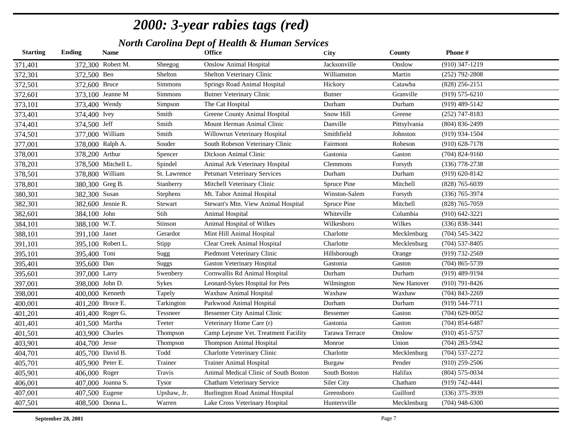| <b>Starting</b> | <b>Ending</b>    | <b>Name</b>         |                 | <b>Office</b>                          | City           | County       | Phone#             |
|-----------------|------------------|---------------------|-----------------|----------------------------------------|----------------|--------------|--------------------|
| 371,401         |                  | 372,300 Robert M.   | Sheegog         | <b>Onslow Animal Hospital</b>          | Jacksonville   | Onslow       | $(910)$ 347-1219   |
| 372,301         | 372,500 Ben      |                     | Shelton         | Shelton Veterinary Clinic              | Williamston    | Martin       | $(252)$ 792-2808   |
| 372,501         | 372,600 Bruce    |                     | Simmons         | Springs Road Animal Hospital           | Hickory        | Catawba      | $(828)$ 256-2151   |
| 372,601         |                  | 373,100 Jeanne M    | Simmons         | <b>Butner Veterinary Clinic</b>        | <b>Butner</b>  | Granville    | $(919) 575 - 6210$ |
| 373,101         | 373,400 Wendy    |                     | Simpson         | The Cat Hospital                       | Durham         | Durham       | $(919)$ 489-5142   |
| 373,401         | 374,400 Ivey     |                     | Smith           | Greene County Animal Hospital          | Snow Hill      | Greene       | $(252)$ 747-8183   |
| 374,401         | 374,500 Jeff     |                     | Smith           | Mount Herman Animal Clinic             | Danville       | Pittsylvania | $(804) 836 - 2499$ |
| 374,501         |                  | 377,000 William     | Smith           | Willowrun Veterinary Hospital          | Smithfield     | Johnston     | (919) 934-1504     |
| 377,001         |                  | 378,000 Ralph A.    | Souder          | South Robeson Veterinary Clinic        | Fairmont       | Robeson      | $(910)$ 628-7178   |
| 378,001         | 378,200 Arthur   |                     | Spencer         | Dickson Animal Clinic                  | Gastonia       | Gaston       | $(704)$ 824-9160   |
| 378,201         |                  | 378,500 Mitchell L. | Spindel         | Animal Ark Veterinary Hospital         | Clemmons       | Forsyth      | $(336)$ 778-2738   |
| 378,501         |                  | 378,800 William     | St. Lawrence    | <b>Petsmart Veterinary Services</b>    | Durham         | Durham       | $(919) 620 - 8142$ |
| 378,801         | 380,300 Greg B.  |                     | Stanberry       | Mitchell Veterinary Clinic             | Spruce Pine    | Mitchell     | $(828)$ 765-6039   |
| 380,301         | 382,300 Susan    |                     | Stephens        | Mt. Tabor Animal Hospital              | Winston-Salem  | Forsyth      | $(336)$ 765-3974   |
| 382,301         |                  | 382,600 Jennie R.   | Stewart         | Stewart's Mtn. View Animal Hospital    | Spruce Pine    | Mitchell     | (828) 765-7059     |
| 382,601         | 384,100 John     |                     | Stih            | Animal Hospital                        | Whiteville     | Columbia     | $(910) 642 - 3221$ |
| 384,101         | 388,100 W.T.     |                     | Stinson         | Animal Hospital of Wilkes              | Wilkesboro     | Wilkes       | $(336) 838 - 3441$ |
| 388,101         | 391,100 Janet    |                     | Gerardot        | Mint Hill Animal Hospital              | Charlotte      | Mecklenburg  | $(704) 545 - 3422$ |
| 391,101         |                  | 395,100 Robert L.   | Stipp           | Clear Creek Animal Hospital            | Charlotte      | Mecklenburg  | $(704)$ 537-8405   |
| 395,101         | 395,400 Toni     |                     | Sugg            | Piedmont Veterinary Clinic             | Hillsborough   | Orange       | (919) 732-2569     |
| 395,401         | 395,600 Dan      |                     | Suggs           | <b>Gaston Veterinary Hospital</b>      | Gastonia       | Gaston       | $(704)$ 865-5739   |
| 395,601         | 397,000 Larry    |                     | Swenbery        | Cornwallis Rd Animal Hospital          | Durham         | Durham       | $(919)$ 489-9194   |
| 397,001         | 398,000 John D.  |                     | Sykes           | Leonard-Sykes Hospital for Pets        | Wilmington     | New Hanover  | $(910)$ 791-8426   |
| 398,001         |                  | 400,000 Kenneth     | Tapely          | Waxhaw Animal Hospital                 | Waxhaw         | Waxhaw       | $(704)$ 843-2269   |
| 400,001         |                  | 401,200 Bruce E.    | Tarkington      | Parkwood Animal Hospital               | Durham         | Durham       | $(919) 544 - 7711$ |
| 401,201         |                  | 401,400 Roger G.    | Tessneer        | <b>Bessemer City Animal Clinic</b>     | Bessemer       | Gaston       | $(704)$ 629-0052   |
| 401,401         | 401,500 Martha   |                     | Teeter          | Veterinary Home Care (r)               | Gastonia       | Gaston       | $(704)$ 854-6487   |
| 401,501         | 403,900 Charles  |                     | Thompson        | Camp Lejeune Vet. Treatment Facility   | Tarawa Terrace | Onslow       | $(910)$ 451-5757   |
| 403,901         | 404,700 Jesse    |                     | <b>Thompson</b> | Thompson Animal Hospital               | Monroe         | Union        | $(704)$ 283-5942   |
| 404,701         |                  | 405,700 David B.    | Todd            | Charlotte Veterinary Clinic            | Charlotte      | Mecklenburg  | $(704) 537 - 2272$ |
| 405,701         | 405,900 Peter E. |                     | Trainer         | <b>Trainer Animal Hospital</b>         | Burgaw         | Pender       | $(910)$ 259-2506   |
| 405,901         | 406,000 Roger    |                     | Travis          | Animal Medical Clinic of South Boston  | South Boston   | Halifax      | $(804) 575 - 0034$ |
| 406,001         |                  | 407,000 Joanna S.   | <b>Tysor</b>    | Chatham Veterinary Service             | Siler City     | Chatham      | (919) 742-4441     |
| 407,001         | 407,500 Eugene   |                     | Upshaw, Jr.     | <b>Burlington Road Animal Hospital</b> | Greensboro     | Guilford     | $(336)$ 375-3939   |
| 407,501         |                  | 408,500 Donna L.    | Warren          | Lake Cross Veterinary Hospital         | Huntersville   | Mecklenburg  | $(704)$ 948-6300   |
|                 |                  |                     |                 |                                        |                |              |                    |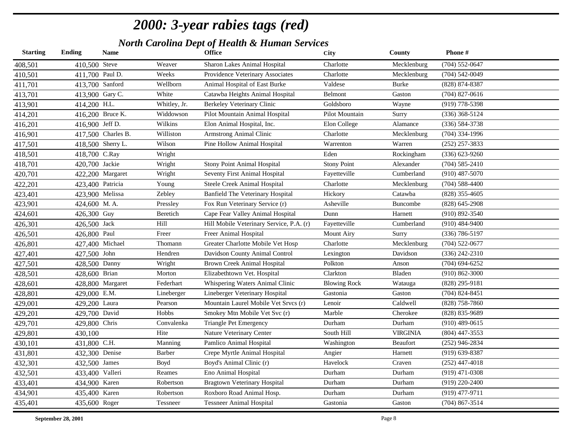| <b>Starting</b> | <b>Ending</b>    | <b>Name</b>        |               | <b>Office</b>                            | City                | <b>County</b>   | Phone#             |
|-----------------|------------------|--------------------|---------------|------------------------------------------|---------------------|-----------------|--------------------|
| 408,501         | 410,500 Steve    |                    | Weaver        | Sharon Lakes Animal Hospital             | Charlotte           | Mecklenburg     | $(704) 552 - 0647$ |
| 410,501         | 411,700 Paul D.  |                    | Weeks         | Providence Veterinary Associates         | Charlotte           | Mecklenburg     | $(704) 542 - 0049$ |
| 411,701         | 413,700 Sanford  |                    | Wellborn      | Animal Hospital of East Burke            | Valdese             | Burke           | $(828)$ 874-8387   |
| 413,701         | 413,900 Gary C.  |                    | White         | Catawba Heights Animal Hospital          | Belmont             | Gaston          | $(704)$ 827-0616   |
| 413,901         | 414,200 H.L.     |                    | Whitley, Jr.  | Berkeley Veterinary Clinic               | Goldsboro           | Wayne           | (919) 778-5398     |
| 414,201         |                  | 416,200 Bruce K.   | Widdowson     | Pilot Mountain Animal Hospital           | Pilot Mountain      | Surry           | $(336)$ 368-5124   |
| 416,201         | 416,900 Jeff D.  |                    | Wilkins       | Elon Animal Hospital, Inc.               | Elon College        | Alamance        | $(336) 584 - 3738$ |
| 416,901         |                  | 417,500 Charles B. | Williston     | <b>Armstrong Animal Clinic</b>           | Charlotte           | Mecklenburg     | $(704)$ 334-1996   |
| 417,501         |                  | 418,500 Sherry L.  | Wilson        | Pine Hollow Animal Hospital              | Warrenton           | Warren          | $(252)$ 257-3833   |
| 418,501         | 418,700 C.Ray    |                    | Wright        |                                          | Eden                | Rockingham      | $(336) 623 - 9260$ |
| 418,701         | 420,700 Jackie   |                    | Wright        | <b>Stony Point Animal Hospital</b>       | <b>Stony Point</b>  | Alexander       | $(704) 585 - 2410$ |
| 420,701         |                  | 422,200 Margaret   | Wright        | Seventy First Animal Hospital            | Fayetteville        | Cumberland      | $(910)$ 487-5070   |
| 422,201         | 423,400 Patricia |                    | Young         | Steele Creek Animal Hospital             | Charlotte           | Mecklenburg     | $(704)$ 588-4400   |
| 423,401         | 423,900 Melissa  |                    | Zebley        | <b>Banfield The Veterinary Hospital</b>  | Hickory             | Catawba         | $(828)$ 355-4605   |
| 423,901         | 424,600 M.A.     |                    | Pressley      | Fox Run Veterinary Service (r)           | Asheville           | Buncombe        | $(828)$ 645-2908   |
| 424,601         | 426,300 Guy      |                    | Beretich      | Cape Fear Valley Animal Hospital         | Dunn                | Harnett         | $(910) 892 - 3540$ |
| 426,301         | 426,500 Jack     |                    | Hill          | Hill Mobile Veterinary Service, P.A. (r) | Fayetteville        | Cumberland      | $(910)$ 484-9400   |
| 426,501         | 426,800 Paul     |                    | Freer         | Freer Animal Hospital                    | <b>Mount Airy</b>   | Surry           | $(336)$ 786-5197   |
| 426,801         | 427,400 Michael  |                    | Thomann       | Greater Charlotte Mobile Vet Hosp        | Charlotte           | Mecklenburg     | $(704)$ 522-0677   |
| 427,401         | 427,500 John     |                    | Hendren       | Davidson County Animal Control           | Lexington           | Davidson        | $(336)$ 242-2310   |
| 427,501         | 428,500 Danny    |                    | Wright        | Brown Creek Animal Hospital              | Polkton             | Anson           | $(704)$ 694-6252   |
| 428,501         | 428,600 Brian    |                    | Morton        | Elizabethtown Vet. Hospital              | Clarkton            | Bladen          | $(910) 862 - 3000$ |
| 428,601         |                  | 428,800 Margaret   | Federhart     | Whispering Waters Animal Clinic          | <b>Blowing Rock</b> | Watauga         | $(828)$ 295-9181   |
| 428,801         | 429,000 E.M.     |                    | Lineberger    | Lineberger Veterinary Hospital           | Gastonia            | Gaston          | $(704)$ 824-8451   |
| 429,001         | 429,200 Laura    |                    | Pearson       | Mountain Laurel Mobile Vet Srvcs (r)     | Lenoir              | Caldwell        | $(828)$ 758-7860   |
| 429,201         | 429,700 David    |                    | Hobbs         | Smokey Mtn Mobile Vet Svc (r)            | Marble              | Cherokee        | (828) 835-9689     |
| 429,701         | 429,800 Chris    |                    | Convalenka    | <b>Triangle Pet Emergency</b>            | Durham              | Durham          | $(910)$ 489-0615   |
| 429,801         | 430,100          |                    | Hite          | Nature Veterinary Center                 | South Hill          | <b>VIRGINIA</b> | $(804)$ 447-3553   |
| 430,101         | 431,800 C.H.     |                    | Manning       | Pamlico Animal Hospital                  | Washington          | <b>Beaufort</b> | $(252)$ 946-2834   |
| 431,801         | 432,300 Denise   |                    | <b>Barber</b> | Crepe Myrtle Animal Hospital             | Angier              | Harnett         | $(919)$ 639-8387   |
| 432,301         | 432,500 James    |                    | Boyd          | Boyd's Animal Clinic (r)                 | Havelock            | Craven          | $(252)$ 447-4018   |
| 432,501         | 433,400 Valleri  |                    | Reames        | Eno Animal Hospital                      | Durham              | Durham          | $(919)$ 471-0308   |
| 433,401         | 434,900 Karen    |                    | Robertson     | <b>Bragtown Veterinary Hospital</b>      | Durham              | Durham          | $(919)$ 220-2400   |
| 434,901         | 435,400 Karen    |                    | Robertson     | Roxboro Road Animal Hosp.                | Durham              | Durham          | (919) 477-9711     |
| 435,401         | 435,600 Roger    |                    | Tessneer      | <b>Tessneer Animal Hospital</b>          | Gastonia            | Gaston          | $(704)$ 867-3514   |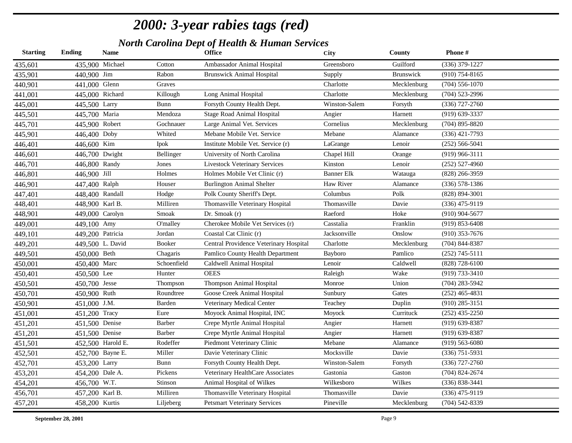| <b>Starting</b> | Ending          | <b>Name</b>       |               | <b>Office</b>                          | City              | County           | Phone#             |
|-----------------|-----------------|-------------------|---------------|----------------------------------------|-------------------|------------------|--------------------|
| 435,601         |                 | 435,900 Michael   | Cotton        | Ambassador Animal Hospital             | Greensboro        | Guilford         | $(336)$ 379-1227   |
| 435,901         | 440,900 Jim     |                   | Rabon         | <b>Brunswick Animal Hospital</b>       | Supply            | <b>Brunswick</b> | $(910)$ 754-8165   |
| 440,901         | 441,000 Glenn   |                   | Graves        |                                        | Charlotte         | Mecklenburg      | $(704)$ 556-1070   |
| 441,001         |                 | 445,000 Richard   | Killough      | Long Animal Hospital                   | Charlotte         | Mecklenburg      | $(704)$ 523-2996   |
| 445,001         | 445,500 Larry   |                   | <b>Bunn</b>   | Forsyth County Health Dept.            | Winston-Salem     | Forsyth          | $(336)$ 727-2760   |
| 445,501         | 445,700 Maria   |                   | Mendoza       | <b>Stage Road Animal Hospital</b>      | Angier            | Harnett          | (919) 639-3337     |
| 445,701         | 445,900 Robert  |                   | Gochnauer     | Large Animal Vet. Services             | Cornelius         | Mecklenburg      | $(704)$ 895-8820   |
| 445,901         | 446,400 Doby    |                   | Whited        | Mebane Mobile Vet. Service             | Mebane            | Alamance         | $(336)$ 421-7793   |
| 446,401         | 446,600 Kim     |                   | <b>Ipok</b>   | Institute Mobile Vet. Service (r)      | LaGrange          | Lenoir           | $(252) 566 - 5041$ |
| 446,601         | 446,700 Dwight  |                   | Bellinger     | University of North Carolina           | Chapel Hill       | Orange           | $(919)$ 966-3111   |
| 446,701         | 446,800 Randy   |                   | Jones         | <b>Livestock Veterinary Services</b>   | Kinston           | Lenoir           | $(252)$ 527-4960   |
| 446,801         | 446,900 Jill    |                   | Holmes        | Holmes Mobile Vet Clinic (r)           | <b>Banner Elk</b> | Watauga          | (828) 266-3959     |
| 446,901         | 447,400 Ralph   |                   | Houser        | <b>Burlington Animal Shelter</b>       | Haw River         | Alamance         | $(336) 578 - 1386$ |
| 447,401         |                 | 448,400 Randall   | Hodge         | Polk County Sheriff's Dept.            | Columbus          | Polk             | (828) 894-3001     |
| 448,401         | 448,900 Karl B. |                   | Milliren      | Thomasville Veterinary Hospital        | Thomasville       | Davie            | $(336)$ 475-9119   |
| 448,901         |                 | 449,000 Carolyn   | Smoak         | Dr. Smoak (r)                          | Raeford           | Hoke             | $(910)$ 904-5677   |
| 449,001         | 449,100 Amy     |                   | O'malley      | Cherokee Mobile Vet Services (r)       | Casstalia         | Franklin         | $(919) 853 - 6408$ |
| 449,101         |                 | 449,200 Patricia  | Jordan        | Coastal Cat Clinic (r)                 | Jacksonville      | Onslow           | $(910)$ 353-7676   |
| 449,201         |                 | 449,500 L. David  | <b>Booker</b> | Central Providence Veterinary Hospital | Charlotte         | Mecklenburg      | $(704)$ 844-8387   |
| 449,501         | 450,000 Beth    |                   | Chagaris      | Pamlico County Health Department       | Bayboro           | Pamlico          | $(252)$ 745-5111   |
| 450,001         | 450,400 Marc    |                   | Schoenfield   | Caldwell Animal Hospital               | Lenoir            | Caldwell         | (828) 728-6100     |
| 450,401         | 450,500 Lee     |                   | Hunter        | <b>OEES</b>                            | Raleigh           | Wake             | (919) 733-3410     |
| 450,501         | 450,700 Jesse   |                   | Thompson      | Thompson Animal Hospital               | Monroe            | Union            | $(704)$ 283-5942   |
| 450,701         | 450,900 Ruth    |                   | Roundtree     | Goose Creek Animal Hospital            | Sunbury           | Gates            | $(252)$ 465-4831   |
| 450,901         | 451,000 J.M.    |                   | Barden        | Veterinary Medical Center              | Teachey           | Duplin           | $(910)$ 285-3151   |
| 451,001         | 451,200 Tracy   |                   | Eure          | Moyock Animal Hospital, INC            | Moyock            | Currituck        | $(252)$ 435-2250   |
| 451,201         | 451,500 Denise  |                   | <b>Barber</b> | Crepe Myrtle Animal Hospital           | Angier            | Harnett          | $(919) 639 - 8387$ |
| 451,201         | 451,500 Denise  |                   | <b>Barber</b> | Crepe Myrtle Animal Hospital           | Angier            | Harnett          | $(919) 639 - 8387$ |
| 451,501         |                 | 452,500 Harold E. | Rodeffer      | Piedmont Veterinary Clinic             | Mebane            | Alamance         | $(919) 563 - 6080$ |
| 452,501         |                 | 452,700 Bayne E.  | Miller        | Davie Veterinary Clinic                | Mocksville        | Davie            | $(336)$ 751-5931   |
| 452,701         | 453,200 Larry   |                   | <b>Bunn</b>   | Forsyth County Health Dept.            | Winston-Salem     | Forsyth          | $(336)$ 727-2760   |
| 453,201         | 454,200 Dale A. |                   | Pickens       | Veterinary HealthCare Associates       | Gastonia          | Gaston           | $(704)$ 824-2674   |
| 454,201         | 456,700 W.T.    |                   | Stinson       | Animal Hospital of Wilkes              | Wilkesboro        | Wilkes           | (336) 838-3441     |
| 456,701         | 457,200 Karl B. |                   | Milliren      | Thomasville Veterinary Hospital        | Thomasville       | Davie            | $(336)$ 475-9119   |
| 457,201         | 458,200 Kurtis  |                   | Liljeberg     | <b>Petsmart Veterinary Services</b>    | Pineville         | Mecklenburg      | $(704)$ 542-8339   |
|                 |                 |                   |               |                                        |                   |                  |                    |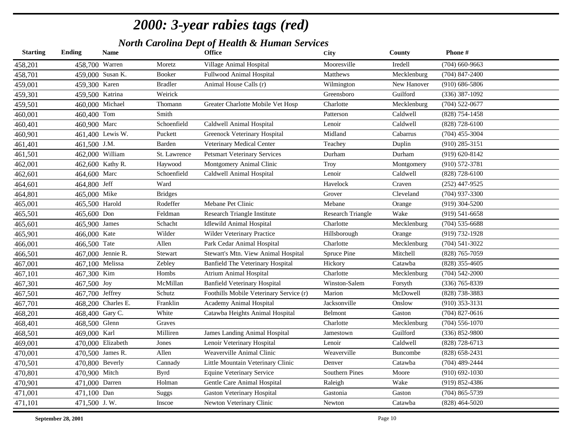| <b>Starting</b> | Ending          | <b>Name</b>        |                | Office                                  | City                     | County          | Phone#             |
|-----------------|-----------------|--------------------|----------------|-----------------------------------------|--------------------------|-----------------|--------------------|
| 458,201         | 458,700 Warren  |                    | Moretz         | Village Animal Hospital                 | Mooresville              | Iredell         | $(704)$ 660-9663   |
| 458,701         |                 | 459,000 Susan K.   | Booker         | Fullwood Animal Hospital                | Matthews                 | Mecklenburg     | $(704)$ 847-2400   |
| 459,001         | 459,300 Karen   |                    | <b>Bradler</b> | Animal House Calls (r)                  | Wilmington               | New Hanover     | $(910) 686 - 5806$ |
| 459,301         | 459,500 Katrina |                    | Weirick        |                                         | Greensboro               | Guilford        | $(336)$ 387-1092   |
| 459,501         |                 | 460,000 Michael    | Thomann        | Greater Charlotte Mobile Vet Hosp       | Charlotte                | Mecklenburg     | $(704)$ 522-0677   |
| 460,001         | 460,400 Tom     |                    | Smith          |                                         | Patterson                | Caldwell        | $(828)$ 754-1458   |
| 460,401         | 460,900 Marc    |                    | Schoenfield    | Caldwell Animal Hospital                | Lenoir                   | Caldwell        | $(828)$ 728-6100   |
| 460,901         |                 | 461,400 Lewis W.   | Puckett        | Greenock Veterinary Hospital            | Midland                  | Cabarrus        | $(704)$ 455-3004   |
| 461,401         | 461,500 J.M.    |                    | Barden         | Veterinary Medical Center               | Teachey                  | Duplin          | $(910)$ 285-3151   |
| 461,501         |                 | 462,000 William    | St. Lawrence   | <b>Petsmart Veterinary Services</b>     | Durham                   | Durham          | $(919) 620 - 8142$ |
| 462,001         |                 | 462,600 Kathy R.   | Haywood        | Montgomery Animal Clinic                | Troy                     | Montgomery      | $(910) 572 - 3781$ |
| 462,601         | 464,600 Marc    |                    | Schoenfield    | Caldwell Animal Hospital                | Lenoir                   | Caldwell        | $(828)$ 728-6100   |
| 464,601         | 464,800 Jeff    |                    | Ward           |                                         | Havelock                 | Craven          | $(252)$ 447-9525   |
| 464,801         | 465,000 Mike    |                    | <b>Bridges</b> |                                         | Grover                   | Cleveland       | $(704)$ 937-3300   |
| 465,001         | 465,500 Harold  |                    | Rodeffer       | Mebane Pet Clinic                       | Mebane                   | Orange          | $(919)$ 304-5200   |
| 465,501         | 465,600 Don     |                    | Feldman        | Research Triangle Institute             | <b>Research Triangle</b> | Wake            | $(919) 541 - 6658$ |
| 465,601         | 465,900 James   |                    | Schacht        | <b>Idlewild Animal Hospital</b>         | Charlotte                | Mecklenburg     | $(704)$ 535-6688   |
| 465,901         | 466,000 Kate    |                    | Wilder         | Wilder Veterinary Practice              | Hillsborough             | Orange          | (919) 732-1928     |
| 466,001         | 466,500 Tate    |                    | Allen          | Park Cedar Animal Hospital              | Charlotte                | Mecklenburg     | $(704) 541 - 3022$ |
| 466,501         |                 | 467,000 Jennie R.  | Stewart        | Stewart's Mtn. View Animal Hospital     | Spruce Pine              | Mitchell        | (828) 765-7059     |
| 467,001         | 467,100 Melissa |                    | Zebley         | Banfield The Veterinary Hospital        | Hickory                  | Catawba         | $(828)$ 355-4605   |
| 467,101         | 467,300 Kim     |                    | Hombs          | <b>Atrium Animal Hospital</b>           | Charlotte                | Mecklenburg     | $(704) 542 - 2000$ |
| 467,301         | 467,500 Joy     |                    | McMillan       | <b>Banfield Veterinary Hospital</b>     | Winston-Salem            | Forsyth         | $(336)$ 765-8339   |
| 467,501         | 467,700 Jeffrey |                    | Schutz         | Foothills Mobile Veterinary Service (r) | Marion                   | McDowell        | (828) 738-3883     |
| 467,701         |                 | 468,200 Charles E. | Franklin       | Academy Animal Hospital                 | Jacksonville             | Onslow          | $(910)$ 353-3131   |
| 468,201         | 468,400 Gary C. |                    | White          | Catawba Heights Animal Hospital         | Belmont                  | Gaston          | $(704)$ 827-0616   |
| 468,401         | 468,500 Glenn   |                    | Graves         |                                         | Charlotte                | Mecklenburg     | $(704)$ 556-1070   |
| 468,501         | 469,000 Karl    |                    | Milliren       | James Landing Animal Hospital           | Jamestown                | Guilford        | (336) 852-9800     |
| 469,001         |                 | 470,000 Elizabeth  | Jones          | Lenoir Veterinary Hospital              | Lenoir                   | Caldwell        | $(828)$ 728-6713   |
| 470,001         |                 | 470,500 James R.   | Allen          | Weaverville Animal Clinic               | Weaverville              | <b>Buncombe</b> | $(828) 658 - 2431$ |
| 470,501         |                 | 470,800 Beverly    | Cannady        | Little Mountain Veterinary Clinic       | Denver                   | Catawba         | $(704)$ 489-2444   |
| 470,801         | 470,900 Mitch   |                    | <b>Byrd</b>    | <b>Equine Veterinary Service</b>        | <b>Southern Pines</b>    | Moore           | $(910) 692 - 1030$ |
| 470,901         | 471,000 Darren  |                    | Holman         | Gentle Care Animal Hospital             | Raleigh                  | Wake            | $(919)$ 852-4386   |
| 471,001         | 471,100 Dan     |                    | <b>Suggs</b>   | <b>Gaston Veterinary Hospital</b>       | Gastonia                 | Gaston          | $(704)$ 865-5739   |
| 471,101         | 471,500 J.W.    |                    | Inscoe         | Newton Veterinary Clinic                | Newton                   | Catawba         | $(828)$ 464-5020   |
|                 |                 |                    |                |                                         |                          |                 |                    |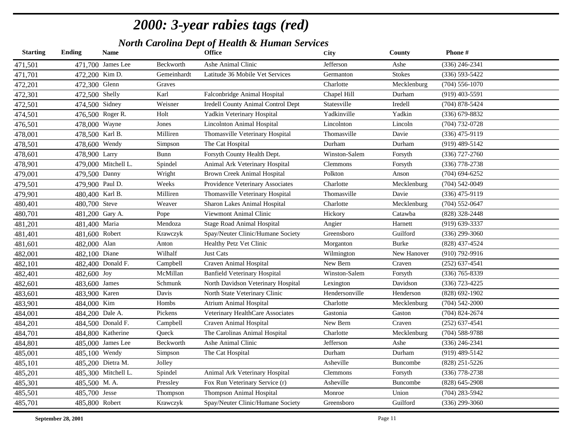| <b>Starting</b> | <b>Ending</b>   | <b>Name</b>         |             | <b>Office</b>                             | <b>City</b>    | <b>County</b> | Phone#             |
|-----------------|-----------------|---------------------|-------------|-------------------------------------------|----------------|---------------|--------------------|
| 471,501         |                 | 471,700 James Lee   | Beckworth   | Ashe Animal Clinic                        | Jefferson      | Ashe          | $(336)$ 246-2341   |
| 471,701         | 472,200 Kim D.  |                     | Gemeinhardt | Latitude 36 Mobile Vet Services           | Germanton      | <b>Stokes</b> | $(336) 593 - 5422$ |
| 472,201         | 472,300 Glenn   |                     | Graves      |                                           | Charlotte      | Mecklenburg   | $(704)$ 556-1070   |
| 472,301         | 472,500 Shelly  |                     | Karl        | Falconbridge Animal Hospital              | Chapel Hill    | Durham        | $(919)$ 403-5591   |
| 472,501         | 474,500 Sidney  |                     | Weisner     | <b>Iredell County Animal Control Dept</b> | Statesville    | Iredell       | $(704)$ 878-5424   |
| 474,501         |                 | 476,500 Roger R.    | Holt        | Yadkin Veterinary Hospital                | Yadkinville    | Yadkin        | (336) 679-8832     |
| 476,501         | 478,000 Wayne   |                     | Jones       | <b>Lincolnton Animal Hospital</b>         | Lincolnton     | Lincoln       | $(704) 732 - 0728$ |
| 478,001         | 478,500 Karl B. |                     | Milliren    | Thomasville Veterinary Hospital           | Thomasville    | Davie         | $(336)$ 475-9119   |
| 478,501         | 478,600 Wendy   |                     | Simpson     | The Cat Hospital                          | Durham         | Durham        | $(919)$ 489-5142   |
| 478,601         | 478,900 Larry   |                     | Bunn        | Forsyth County Health Dept.               | Winston-Salem  | Forsyth       | $(336)$ 727-2760   |
| 478,901         |                 | 479,000 Mitchell L. | Spindel     | Animal Ark Veterinary Hospital            | Clemmons       | Forsyth       | $(336)$ 778-2738   |
| 479,001         | 479,500 Danny   |                     | Wright      | <b>Brown Creek Animal Hospital</b>        | Polkton        | Anson         | $(704)$ 694-6252   |
| 479,501         | 479,900 Paul D. |                     | Weeks       | Providence Veterinary Associates          | Charlotte      | Mecklenburg   | $(704) 542 - 0049$ |
| 479,901         | 480,400 Karl B. |                     | Milliren    | Thomasville Veterinary Hospital           | Thomasville    | Davie         | $(336)$ 475-9119   |
| 480,401         | 480,700 Steve   |                     | Weaver      | Sharon Lakes Animal Hospital              | Charlotte      | Mecklenburg   | $(704) 552 - 0647$ |
| 480,701         | 481,200 Gary A. |                     | Pope        | Viewmont Animal Clinic                    | Hickory        | Catawba       | (828) 328-2448     |
| 481,201         | 481,400 Maria   |                     | Mendoza     | Stage Road Animal Hospital                | Angier         | Harnett       | $(919) 639 - 3337$ |
| 481,401         | 481,600 Robert  |                     | Krawczyk    | Spay/Neuter Clinic/Humane Society         | Greensboro     | Guilford      | $(336)$ 299-3060   |
| 481,601         | 482,000 Alan    |                     | Anton       | Healthy Petz Vet Clinic                   | Morganton      | <b>Burke</b>  | (828) 437-4524     |
| 482,001         | 482,100 Diane   |                     | Wilhalf     | <b>Just Cats</b>                          | Wilmington     | New Hanover   | $(910)$ 792-9916   |
| 482,101         |                 | 482,400 Donald F.   | Campbell    | Craven Animal Hospital                    | New Bern       | Craven        | $(252) 637 - 4541$ |
| 482,401         | 482,600 Joy     |                     | McMillan    | <b>Banfield Veterinary Hospital</b>       | Winston-Salem  | Forsyth       | $(336)$ 765-8339   |
| 482,601         | 483,600 James   |                     | Schmunk     | North Davidson Veterinary Hospital        | Lexington      | Davidson      | (336) 723-4225     |
| 483,601         | 483,900 Karen   |                     | Davis       | North State Veterinary Clinic             | Hendersonville | Henderson     | $(828) 692 - 1902$ |
| 483,901         | 484,000 Kim     |                     | Hombs       | Atrium Animal Hospital                    | Charlotte      | Mecklenburg   | $(704) 542 - 2000$ |
| 484,001         | 484,200 Dale A. |                     | Pickens     | Veterinary HealthCare Associates          | Gastonia       | Gaston        | $(704)$ 824-2674   |
| 484,201         |                 | 484,500 Donald F.   | Campbell    | Craven Animal Hospital                    | New Bern       | Craven        | $(252)$ 637-4541   |
| 484,701         |                 | 484,800 Katherine   | Queck       | The Carolinas Animal Hospital             | Charlotte      | Mecklenburg   | $(704)$ 588-9788   |
| 484,801         |                 | 485,000 James Lee   | Beckworth   | Ashe Animal Clinic                        | Jefferson      | Ashe          | $(336)$ 246-2341   |
| 485,001         | 485,100 Wendy   |                     | Simpson     | The Cat Hospital                          | Durham         | Durham        | $(919)$ 489-5142   |
| 485,101         |                 | 485,200 Dietra M.   | Jolley      |                                           | Asheville      | Buncombe      | $(828)$ 251-5226   |
| 485,201         |                 | 485,300 Mitchell L. | Spindel     | Animal Ark Veterinary Hospital            | Clemmons       | Forsyth       | $(336)$ 778-2738   |
| 485,301         | 485,500 M.A.    |                     | Pressley    | Fox Run Veterinary Service (r)            | Asheville      | Buncombe      | $(828)$ 645-2908   |
| 485,501         | 485,700 Jesse   |                     | Thompson    | <b>Thompson Animal Hospital</b>           | Monroe         | Union         | $(704)$ 283-5942   |
| 485,701         | 485,800 Robert  |                     | Krawczyk    | Spay/Neuter Clinic/Humane Society         | Greensboro     | Guilford      | $(336)$ 299-3060   |
|                 |                 |                     |             |                                           |                |               |                    |